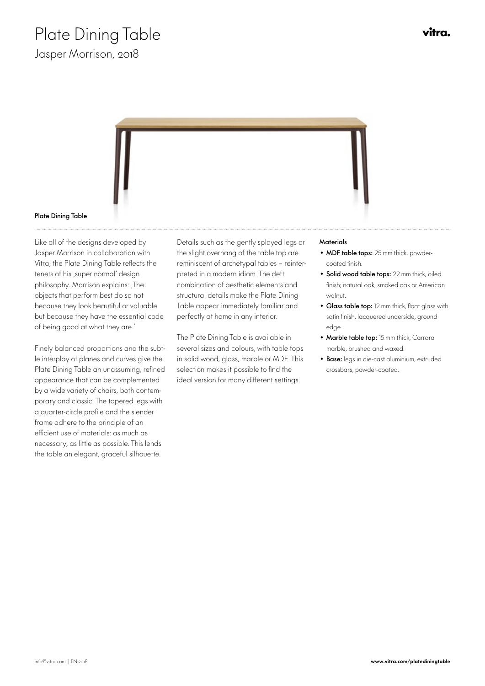

### Plate Dining Table

Like all of the designs developed by Jasper Morrison in collaboration with Vitra, the Plate Dining Table reflects the tenets of his , super normal' design philosophy. Morrison explains: , The objects that perform best do so not because they look beautiful or valuable but because they have the essential code of being good at what they are.'

Finely balanced proportions and the subtle interplay of planes and curves give the Plate Dining Table an unassuming, refined appearance that can be complemented by a wide variety of chairs, both contemporary and classic. The tapered legs with a quarter-circle profile and the slender frame adhere to the principle of an efficient use of materials: as much as necessary, as little as possible. This lends the table an elegant, graceful silhouette.

Details such as the gently splayed legs or the slight overhang of the table top are reminiscent of archetypal tables – reinterpreted in a modern idiom. The deft combination of aesthetic elements and structural details make the Plate Dining Table appear immediately familiar and perfectly at home in any interior.

The Plate Dining Table is available in several sizes and colours, with table tops in solid wood, glass, marble or MDF. This selection makes it possible to find the ideal version for many different settings.

#### **Materials**

- MDF table tops: 25 mm thick, powdercoated finish.
- Solid wood table tops: 22 mm thick, oiled finish; natural oak, smoked oak or American walnut.
- Glass table top: 12 mm thick, float glass with satin finish, lacquered underside, ground edge.
- Marble table top: 15 mm thick, Carrara marble, brushed and waxed.
- Base: legs in die-cast aluminium, extruded crossbars, powder-coated.